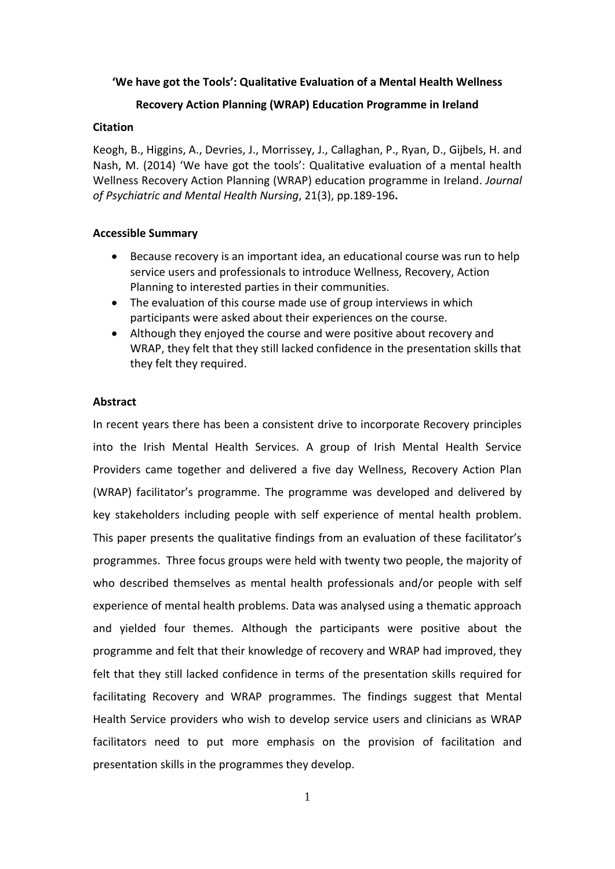# **'We have got the Tools': Qualitative Evaluation of a Mental Health Wellness**

# **Recovery Action Planning (WRAP) Education Programme in Ireland**

## **Citation**

Keogh, B., Higgins, A., Devries, J., Morrissey, J., Callaghan, P., Ryan, D., Gijbels, H. and Nash, M. (2014) 'We have got the tools': Qualitative evaluation of a mental health Wellness Recovery Action Planning (WRAP) education programme in Ireland. *Journal of Psychiatric and Mental Health Nursing*, 21(3), pp.189-196**.**

# **Accessible Summary**

- Because recovery is an important idea, an educational course was run to help service users and professionals to introduce Wellness, Recovery, Action Planning to interested parties in their communities.
- The evaluation of this course made use of group interviews in which participants were asked about their experiences on the course.
- Although they enjoyed the course and were positive about recovery and WRAP, they felt that they still lacked confidence in the presentation skills that they felt they required.

# **Abstract**

In recent years there has been a consistent drive to incorporate Recovery principles into the Irish Mental Health Services. A group of Irish Mental Health Service Providers came together and delivered a five day Wellness, Recovery Action Plan (WRAP) facilitator's programme. The programme was developed and delivered by key stakeholders including people with self experience of mental health problem. This paper presents the qualitative findings from an evaluation of these facilitator's programmes. Three focus groups were held with twenty two people, the majority of who described themselves as mental health professionals and/or people with self experience of mental health problems. Data was analysed using a thematic approach and yielded four themes. Although the participants were positive about the programme and felt that their knowledge of recovery and WRAP had improved, they felt that they still lacked confidence in terms of the presentation skills required for facilitating Recovery and WRAP programmes. The findings suggest that Mental Health Service providers who wish to develop service users and clinicians as WRAP facilitators need to put more emphasis on the provision of facilitation and presentation skills in the programmes they develop.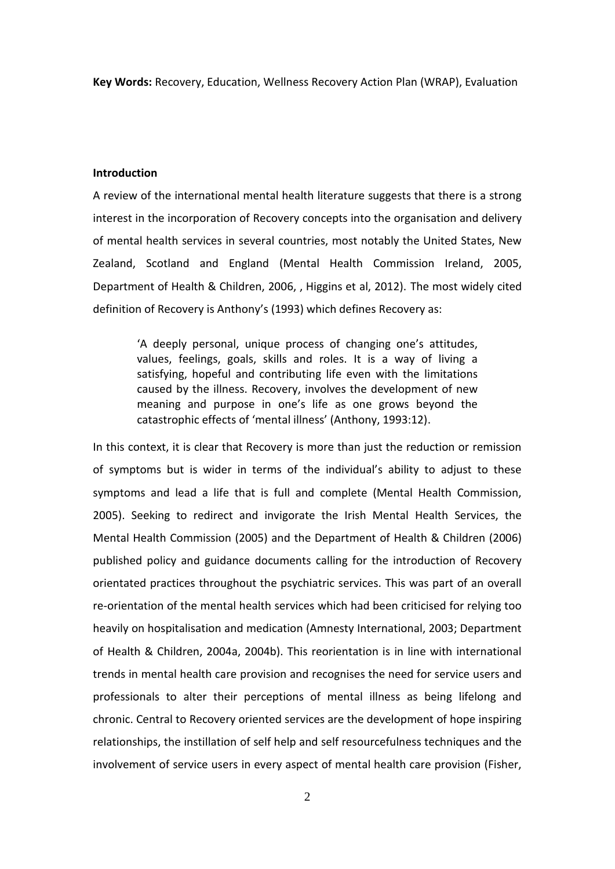**Key Words:** Recovery, Education, Wellness Recovery Action Plan (WRAP), Evaluation

### **Introduction**

A review of the international mental health literature suggests that there is a strong interest in the incorporation of Recovery concepts into the organisation and delivery of mental health services in several countries, most notably the United States, New Zealand, Scotland and England (Mental Health Commission Ireland, 2005, Department of Health & Children, 2006, , Higgins et al, 2012). The most widely cited definition of Recovery is Anthony's (1993) which defines Recovery as:

> 'A deeply personal, unique process of changing one's attitudes, values, feelings, goals, skills and roles. It is a way of living a satisfying, hopeful and contributing life even with the limitations caused by the illness. Recovery, involves the development of new meaning and purpose in one's life as one grows beyond the catastrophic effects of 'mental illness' (Anthony, 1993:12).

In this context, it is clear that Recovery is more than just the reduction or remission of symptoms but is wider in terms of the individual's ability to adjust to these symptoms and lead a life that is full and complete (Mental Health Commission, 2005). Seeking to redirect and invigorate the Irish Mental Health Services, the Mental Health Commission (2005) and the Department of Health & Children (2006) published policy and guidance documents calling for the introduction of Recovery orientated practices throughout the psychiatric services. This was part of an overall re-orientation of the mental health services which had been criticised for relying too heavily on hospitalisation and medication (Amnesty International, 2003; Department of Health & Children, 2004a, 2004b). This reorientation is in line with international trends in mental health care provision and recognises the need for service users and professionals to alter their perceptions of mental illness as being lifelong and chronic. Central to Recovery oriented services are the development of hope inspiring relationships, the instillation of self help and self resourcefulness techniques and the involvement of service users in every aspect of mental health care provision (Fisher,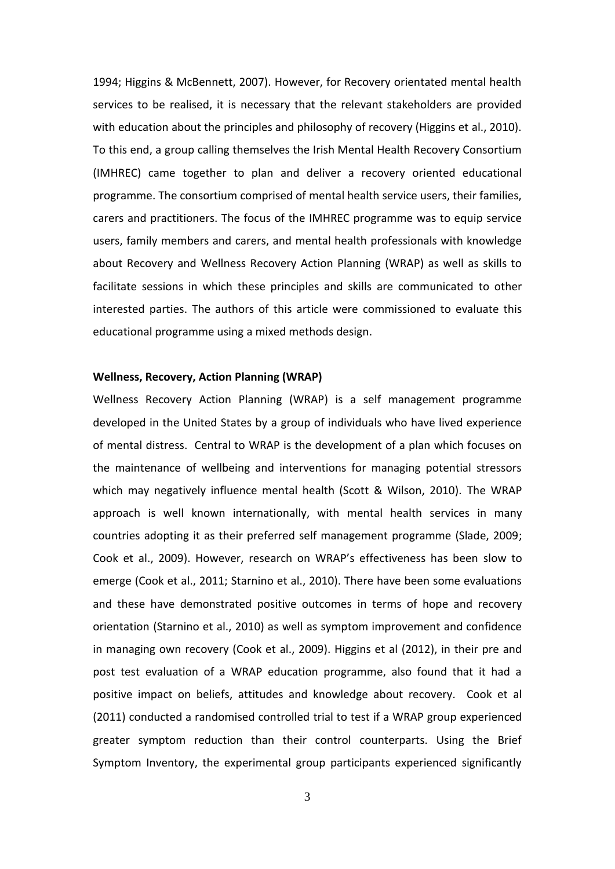1994; Higgins & McBennett, 2007). However, for Recovery orientated mental health services to be realised, it is necessary that the relevant stakeholders are provided with education about the principles and philosophy of recovery (Higgins et al., 2010). To this end, a group calling themselves the Irish Mental Health Recovery Consortium (IMHREC) came together to plan and deliver a recovery oriented educational programme. The consortium comprised of mental health service users, their families, carers and practitioners. The focus of the IMHREC programme was to equip service users, family members and carers, and mental health professionals with knowledge about Recovery and Wellness Recovery Action Planning (WRAP) as well as skills to facilitate sessions in which these principles and skills are communicated to other interested parties. The authors of this article were commissioned to evaluate this educational programme using a mixed methods design.

#### **Wellness, Recovery, Action Planning (WRAP)**

Wellness Recovery Action Planning (WRAP) is a self management programme developed in the United States by a group of individuals who have lived experience of mental distress. Central to WRAP is the development of a plan which focuses on the maintenance of wellbeing and interventions for managing potential stressors which may negatively influence mental health (Scott & Wilson, 2010). The WRAP approach is well known internationally, with mental health services in many countries adopting it as their preferred self management programme (Slade, 2009; Cook et al., 2009). However, research on WRAP's effectiveness has been slow to emerge (Cook et al., 2011; Starnino et al., 2010). There have been some evaluations and these have demonstrated positive outcomes in terms of hope and recovery orientation (Starnino et al., 2010) as well as symptom improvement and confidence in managing own recovery (Cook et al., 2009). Higgins et al (2012), in their pre and post test evaluation of a WRAP education programme, also found that it had a positive impact on beliefs, attitudes and knowledge about recovery. Cook et al (2011) conducted a randomised controlled trial to test if a WRAP group experienced greater symptom reduction than their control counterparts. Using the Brief Symptom Inventory, the experimental group participants experienced significantly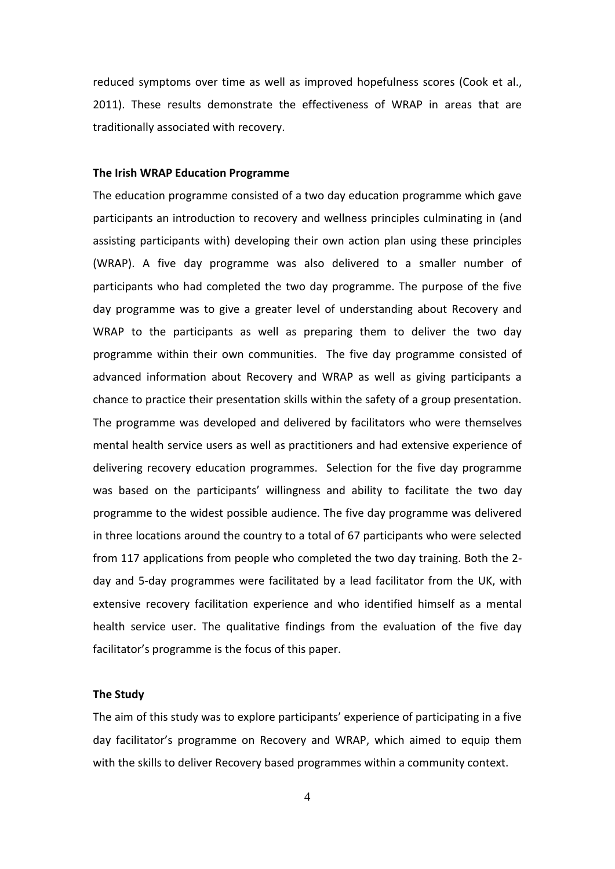reduced symptoms over time as well as improved hopefulness scores (Cook et al., 2011). These results demonstrate the effectiveness of WRAP in areas that are traditionally associated with recovery.

#### **The Irish WRAP Education Programme**

The education programme consisted of a two day education programme which gave participants an introduction to recovery and wellness principles culminating in (and assisting participants with) developing their own action plan using these principles (WRAP). A five day programme was also delivered to a smaller number of participants who had completed the two day programme. The purpose of the five day programme was to give a greater level of understanding about Recovery and WRAP to the participants as well as preparing them to deliver the two day programme within their own communities. The five day programme consisted of advanced information about Recovery and WRAP as well as giving participants a chance to practice their presentation skills within the safety of a group presentation. The programme was developed and delivered by facilitators who were themselves mental health service users as well as practitioners and had extensive experience of delivering recovery education programmes. Selection for the five day programme was based on the participants' willingness and ability to facilitate the two day programme to the widest possible audience. The five day programme was delivered in three locations around the country to a total of 67 participants who were selected from 117 applications from people who completed the two day training. Both the 2 day and 5-day programmes were facilitated by a lead facilitator from the UK, with extensive recovery facilitation experience and who identified himself as a mental health service user. The qualitative findings from the evaluation of the five day facilitator's programme is the focus of this paper.

## **The Study**

The aim of this study was to explore participants' experience of participating in a five day facilitator's programme on Recovery and WRAP, which aimed to equip them with the skills to deliver Recovery based programmes within a community context.

4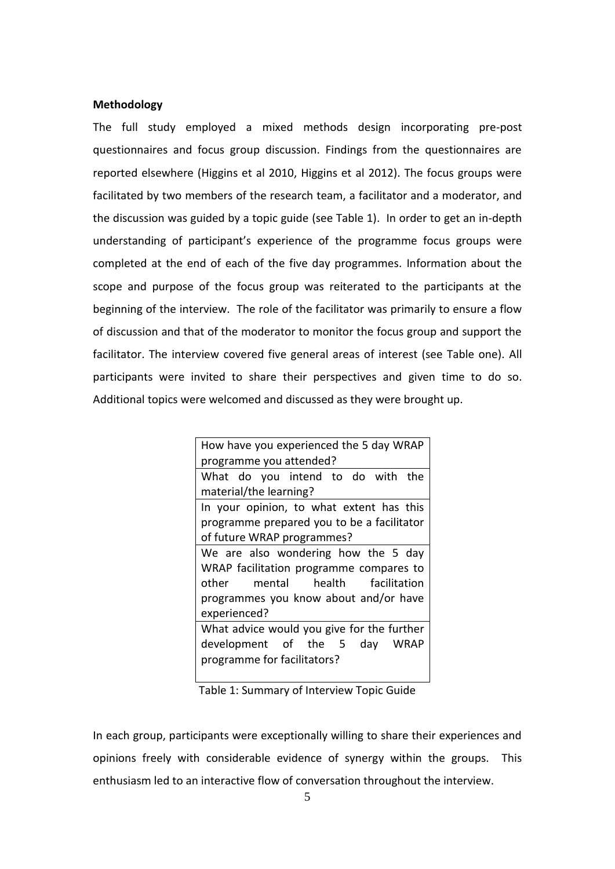## **Methodology**

The full study employed a mixed methods design incorporating pre-post questionnaires and focus group discussion. Findings from the questionnaires are reported elsewhere (Higgins et al 2010, Higgins et al 2012). The focus groups were facilitated by two members of the research team, a facilitator and a moderator, and the discussion was guided by a topic guide (see Table 1). In order to get an in-depth understanding of participant's experience of the programme focus groups were completed at the end of each of the five day programmes. Information about the scope and purpose of the focus group was reiterated to the participants at the beginning of the interview. The role of the facilitator was primarily to ensure a flow of discussion and that of the moderator to monitor the focus group and support the facilitator. The interview covered five general areas of interest (see Table one). All participants were invited to share their perspectives and given time to do so. Additional topics were welcomed and discussed as they were brought up.

| How have you experienced the 5 day WRAP    |  |  |  |
|--------------------------------------------|--|--|--|
| programme you attended?                    |  |  |  |
| What do you intend to do with the          |  |  |  |
| material/the learning?                     |  |  |  |
| In your opinion, to what extent has this   |  |  |  |
| programme prepared you to be a facilitator |  |  |  |
| of future WRAP programmes?                 |  |  |  |
| We are also wondering how the 5 day        |  |  |  |
| WRAP facilitation programme compares to    |  |  |  |
| mental health facilitation<br>other        |  |  |  |
| programmes you know about and/or have      |  |  |  |
| experienced?                               |  |  |  |
| What advice would you give for the further |  |  |  |
| development of the 5<br>day WRAP           |  |  |  |
| programme for facilitators?                |  |  |  |

Table 1: Summary of Interview Topic Guide

In each group, participants were exceptionally willing to share their experiences and opinions freely with considerable evidence of synergy within the groups. This enthusiasm led to an interactive flow of conversation throughout the interview.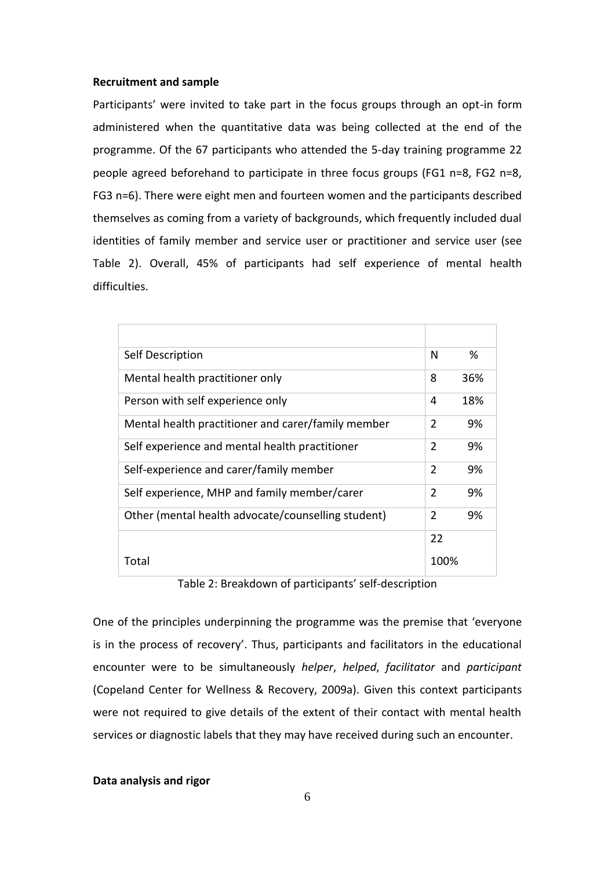#### **Recruitment and sample**

Participants' were invited to take part in the focus groups through an opt-in form administered when the quantitative data was being collected at the end of the programme. Of the 67 participants who attended the 5-day training programme 22 people agreed beforehand to participate in three focus groups (FG1 n=8, FG2 n=8, FG3 n=6). There were eight men and fourteen women and the participants described themselves as coming from a variety of backgrounds, which frequently included dual identities of family member and service user or practitioner and service user (see Table 2). Overall, 45% of participants had self experience of mental health difficulties.

| Self Description                                   | N              | %   |
|----------------------------------------------------|----------------|-----|
| Mental health practitioner only                    | 8              | 36% |
| Person with self experience only                   | 4              | 18% |
| Mental health practitioner and carer/family member | 2              | 9%  |
| Self experience and mental health practitioner     | $\overline{2}$ | 9%  |
| Self-experience and carer/family member            | $\overline{2}$ | 9%  |
| Self experience, MHP and family member/carer       | $\overline{2}$ | 9%  |
| Other (mental health advocate/counselling student) | $\overline{2}$ | 9%  |
|                                                    | 22             |     |
| Total                                              | 100%           |     |

Table 2: Breakdown of participants' self-description

One of the principles underpinning the programme was the premise that 'everyone is in the process of recovery'. Thus, participants and facilitators in the educational encounter were to be simultaneously *helper*, *helped*, *facilitator* and *participant* (Copeland Center for Wellness & Recovery, 2009a). Given this context participants were not required to give details of the extent of their contact with mental health services or diagnostic labels that they may have received during such an encounter.

#### **Data analysis and rigor**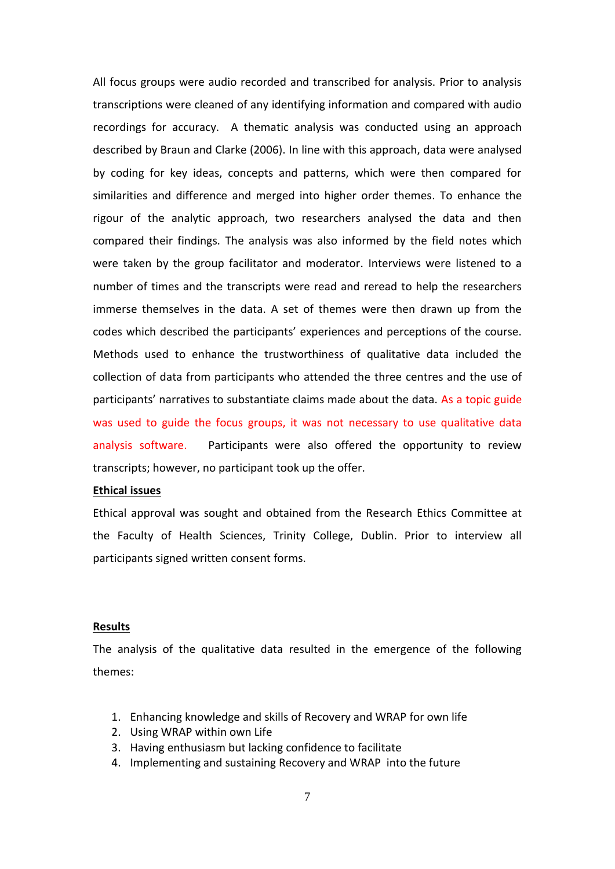All focus groups were audio recorded and transcribed for analysis. Prior to analysis transcriptions were cleaned of any identifying information and compared with audio recordings for accuracy. A thematic analysis was conducted using an approach described by Braun and Clarke (2006). In line with this approach, data were analysed by coding for key ideas, concepts and patterns, which were then compared for similarities and difference and merged into higher order themes. To enhance the rigour of the analytic approach, two researchers analysed the data and then compared their findings. The analysis was also informed by the field notes which were taken by the group facilitator and moderator. Interviews were listened to a number of times and the transcripts were read and reread to help the researchers immerse themselves in the data. A set of themes were then drawn up from the codes which described the participants' experiences and perceptions of the course. Methods used to enhance the trustworthiness of qualitative data included the collection of data from participants who attended the three centres and the use of participants' narratives to substantiate claims made about the data. As a topic guide was used to guide the focus groups, it was not necessary to use qualitative data analysis software. Participants were also offered the opportunity to review transcripts; however, no participant took up the offer.

# **Ethical issues**

Ethical approval was sought and obtained from the Research Ethics Committee at the Faculty of Health Sciences, Trinity College, Dublin. Prior to interview all participants signed written consent forms.

### **Results**

The analysis of the qualitative data resulted in the emergence of the following themes:

- 1. Enhancing knowledge and skills of Recovery and WRAP for own life
- 2. Using WRAP within own Life
- 3. Having enthusiasm but lacking confidence to facilitate
- 4. Implementing and sustaining Recovery and WRAP into the future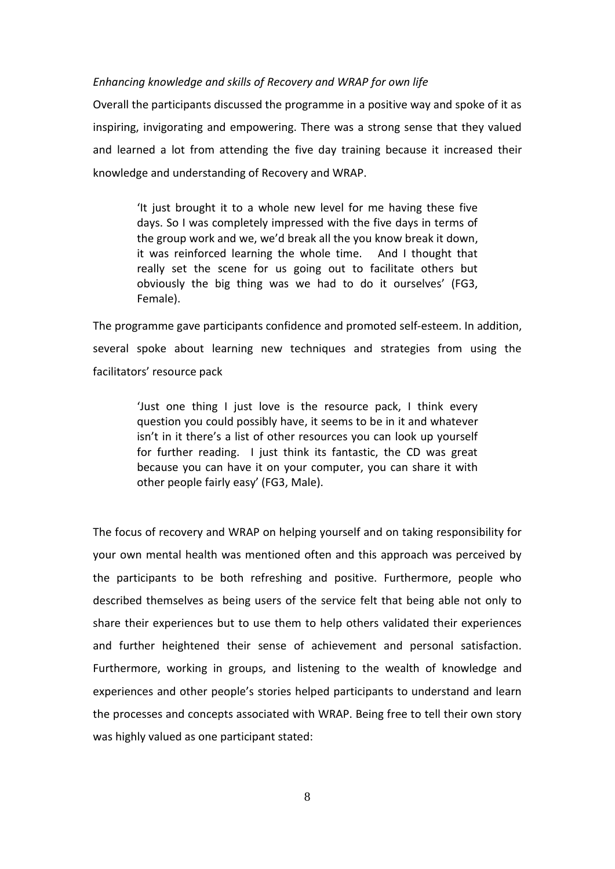### *Enhancing knowledge and skills of Recovery and WRAP for own life*

Overall the participants discussed the programme in a positive way and spoke of it as inspiring, invigorating and empowering. There was a strong sense that they valued and learned a lot from attending the five day training because it increased their knowledge and understanding of Recovery and WRAP.

> 'It just brought it to a whole new level for me having these five days. So I was completely impressed with the five days in terms of the group work and we, we'd break all the you know break it down, it was reinforced learning the whole time. And I thought that really set the scene for us going out to facilitate others but obviously the big thing was we had to do it ourselves' (FG3, Female).

The programme gave participants confidence and promoted self-esteem. In addition, several spoke about learning new techniques and strategies from using the facilitators' resource pack

> 'Just one thing I just love is the resource pack, I think every question you could possibly have, it seems to be in it and whatever isn't in it there's a list of other resources you can look up yourself for further reading. I just think its fantastic, the CD was great because you can have it on your computer, you can share it with other people fairly easy' (FG3, Male).

The focus of recovery and WRAP on helping yourself and on taking responsibility for your own mental health was mentioned often and this approach was perceived by the participants to be both refreshing and positive. Furthermore, people who described themselves as being users of the service felt that being able not only to share their experiences but to use them to help others validated their experiences and further heightened their sense of achievement and personal satisfaction. Furthermore, working in groups, and listening to the wealth of knowledge and experiences and other people's stories helped participants to understand and learn the processes and concepts associated with WRAP. Being free to tell their own story was highly valued as one participant stated: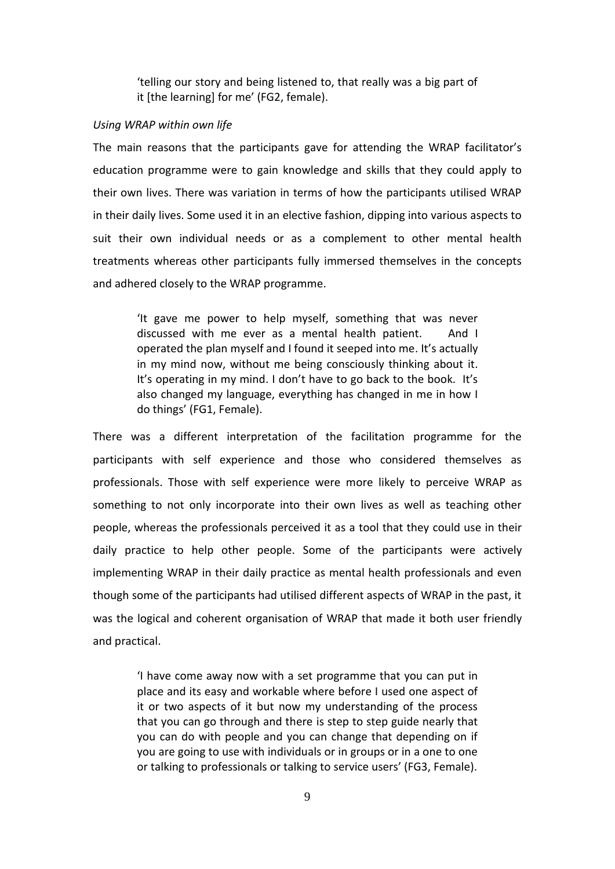'telling our story and being listened to, that really was a big part of it [the learning] for me' (FG2, female).

### *Using WRAP within own life*

The main reasons that the participants gave for attending the WRAP facilitator's education programme were to gain knowledge and skills that they could apply to their own lives. There was variation in terms of how the participants utilised WRAP in their daily lives. Some used it in an elective fashion, dipping into various aspects to suit their own individual needs or as a complement to other mental health treatments whereas other participants fully immersed themselves in the concepts and adhered closely to the WRAP programme.

> 'It gave me power to help myself, something that was never discussed with me ever as a mental health patient. And I operated the plan myself and I found it seeped into me. It's actually in my mind now, without me being consciously thinking about it. It's operating in my mind. I don't have to go back to the book. It's also changed my language, everything has changed in me in how I do things' (FG1, Female).

There was a different interpretation of the facilitation programme for the participants with self experience and those who considered themselves as professionals. Those with self experience were more likely to perceive WRAP as something to not only incorporate into their own lives as well as teaching other people, whereas the professionals perceived it as a tool that they could use in their daily practice to help other people. Some of the participants were actively implementing WRAP in their daily practice as mental health professionals and even though some of the participants had utilised different aspects of WRAP in the past, it was the logical and coherent organisation of WRAP that made it both user friendly and practical.

> 'I have come away now with a set programme that you can put in place and its easy and workable where before I used one aspect of it or two aspects of it but now my understanding of the process that you can go through and there is step to step guide nearly that you can do with people and you can change that depending on if you are going to use with individuals or in groups or in a one to one or talking to professionals or talking to service users' (FG3, Female).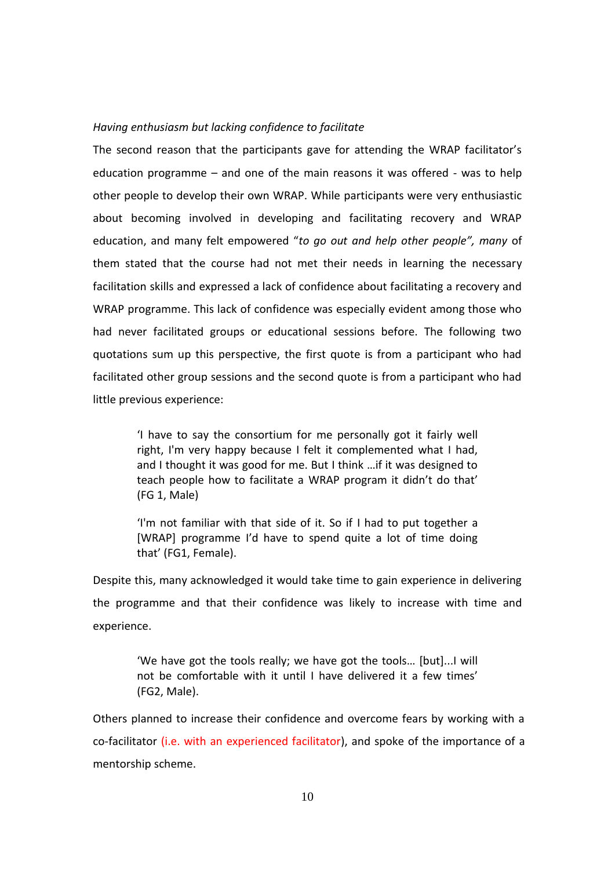#### *Having enthusiasm but lacking confidence to facilitate*

The second reason that the participants gave for attending the WRAP facilitator's education programme – and one of the main reasons it was offered - was to help other people to develop their own WRAP. While participants were very enthusiastic about becoming involved in developing and facilitating recovery and WRAP education, and many felt empowered "*to go out and help other people", many* of them stated that the course had not met their needs in learning the necessary facilitation skills and expressed a lack of confidence about facilitating a recovery and WRAP programme. This lack of confidence was especially evident among those who had never facilitated groups or educational sessions before. The following two quotations sum up this perspective, the first quote is from a participant who had facilitated other group sessions and the second quote is from a participant who had little previous experience:

> 'I have to say the consortium for me personally got it fairly well right, I'm very happy because I felt it complemented what I had, and I thought it was good for me. But I think …if it was designed to teach people how to facilitate a WRAP program it didn't do that' (FG 1, Male)

> 'I'm not familiar with that side of it. So if I had to put together a [WRAP] programme I'd have to spend quite a lot of time doing that' (FG1, Female).

Despite this, many acknowledged it would take time to gain experience in delivering the programme and that their confidence was likely to increase with time and experience.

> 'We have got the tools really; we have got the tools… [but]...I will not be comfortable with it until I have delivered it a few times' (FG2, Male).

Others planned to increase their confidence and overcome fears by working with a co-facilitator (i.e. with an experienced facilitator), and spoke of the importance of a mentorship scheme.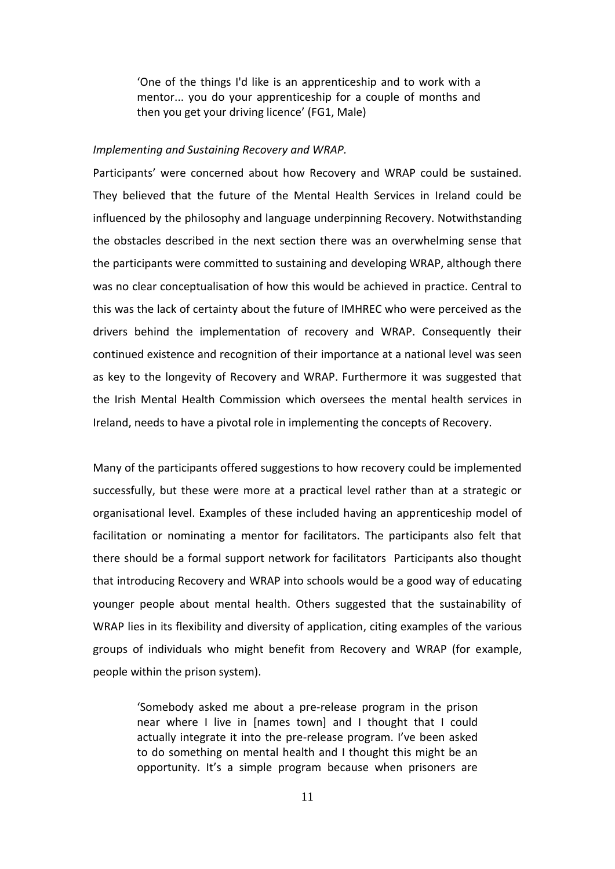'One of the things I'd like is an apprenticeship and to work with a mentor... you do your apprenticeship for a couple of months and then you get your driving licence' (FG1, Male)

#### *Implementing and Sustaining Recovery and WRAP.*

Participants' were concerned about how Recovery and WRAP could be sustained. They believed that the future of the Mental Health Services in Ireland could be influenced by the philosophy and language underpinning Recovery. Notwithstanding the obstacles described in the next section there was an overwhelming sense that the participants were committed to sustaining and developing WRAP, although there was no clear conceptualisation of how this would be achieved in practice. Central to this was the lack of certainty about the future of IMHREC who were perceived as the drivers behind the implementation of recovery and WRAP. Consequently their continued existence and recognition of their importance at a national level was seen as key to the longevity of Recovery and WRAP. Furthermore it was suggested that the Irish Mental Health Commission which oversees the mental health services in Ireland, needs to have a pivotal role in implementing the concepts of Recovery.

Many of the participants offered suggestions to how recovery could be implemented successfully, but these were more at a practical level rather than at a strategic or organisational level. Examples of these included having an apprenticeship model of facilitation or nominating a mentor for facilitators. The participants also felt that there should be a formal support network for facilitators Participants also thought that introducing Recovery and WRAP into schools would be a good way of educating younger people about mental health. Others suggested that the sustainability of WRAP lies in its flexibility and diversity of application, citing examples of the various groups of individuals who might benefit from Recovery and WRAP (for example, people within the prison system).

> 'Somebody asked me about a pre-release program in the prison near where I live in [names town] and I thought that I could actually integrate it into the pre-release program. I've been asked to do something on mental health and I thought this might be an opportunity. It's a simple program because when prisoners are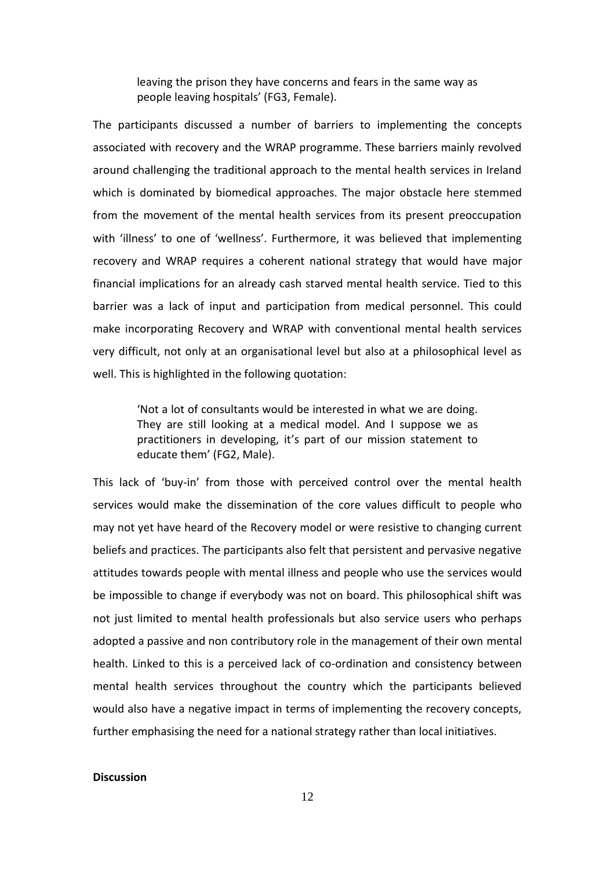leaving the prison they have concerns and fears in the same way as people leaving hospitals' (FG3, Female).

The participants discussed a number of barriers to implementing the concepts associated with recovery and the WRAP programme. These barriers mainly revolved around challenging the traditional approach to the mental health services in Ireland which is dominated by biomedical approaches. The major obstacle here stemmed from the movement of the mental health services from its present preoccupation with 'illness' to one of 'wellness'. Furthermore, it was believed that implementing recovery and WRAP requires a coherent national strategy that would have major financial implications for an already cash starved mental health service. Tied to this barrier was a lack of input and participation from medical personnel. This could make incorporating Recovery and WRAP with conventional mental health services very difficult, not only at an organisational level but also at a philosophical level as well. This is highlighted in the following quotation:

> 'Not a lot of consultants would be interested in what we are doing. They are still looking at a medical model. And I suppose we as practitioners in developing, it's part of our mission statement to educate them' (FG2, Male).

This lack of 'buy-in' from those with perceived control over the mental health services would make the dissemination of the core values difficult to people who may not yet have heard of the Recovery model or were resistive to changing current beliefs and practices. The participants also felt that persistent and pervasive negative attitudes towards people with mental illness and people who use the services would be impossible to change if everybody was not on board. This philosophical shift was not just limited to mental health professionals but also service users who perhaps adopted a passive and non contributory role in the management of their own mental health. Linked to this is a perceived lack of co-ordination and consistency between mental health services throughout the country which the participants believed would also have a negative impact in terms of implementing the recovery concepts, further emphasising the need for a national strategy rather than local initiatives.

### **Discussion**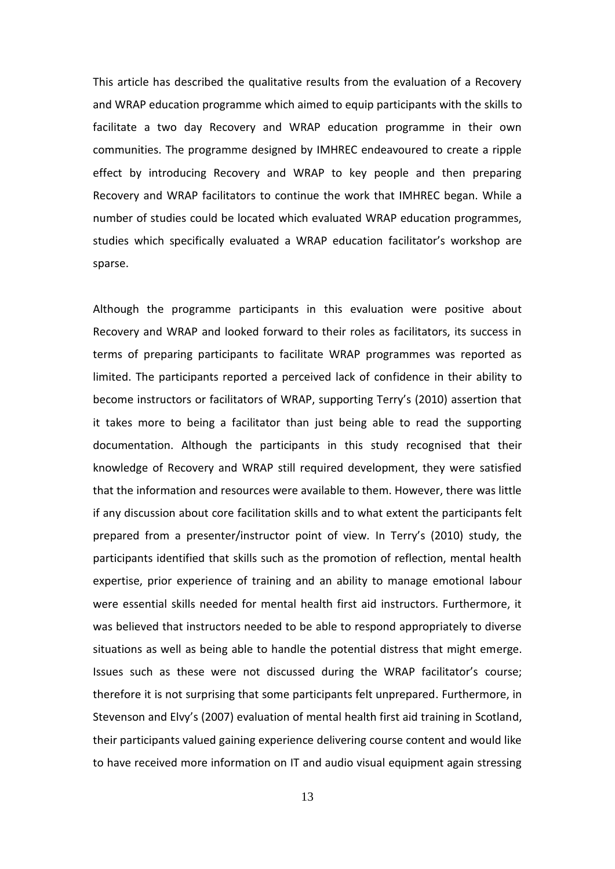This article has described the qualitative results from the evaluation of a Recovery and WRAP education programme which aimed to equip participants with the skills to facilitate a two day Recovery and WRAP education programme in their own communities. The programme designed by IMHREC endeavoured to create a ripple effect by introducing Recovery and WRAP to key people and then preparing Recovery and WRAP facilitators to continue the work that IMHREC began. While a number of studies could be located which evaluated WRAP education programmes, studies which specifically evaluated a WRAP education facilitator's workshop are sparse.

Although the programme participants in this evaluation were positive about Recovery and WRAP and looked forward to their roles as facilitators, its success in terms of preparing participants to facilitate WRAP programmes was reported as limited. The participants reported a perceived lack of confidence in their ability to become instructors or facilitators of WRAP, supporting Terry's (2010) assertion that it takes more to being a facilitator than just being able to read the supporting documentation. Although the participants in this study recognised that their knowledge of Recovery and WRAP still required development, they were satisfied that the information and resources were available to them. However, there was little if any discussion about core facilitation skills and to what extent the participants felt prepared from a presenter/instructor point of view. In Terry's (2010) study, the participants identified that skills such as the promotion of reflection, mental health expertise, prior experience of training and an ability to manage emotional labour were essential skills needed for mental health first aid instructors. Furthermore, it was believed that instructors needed to be able to respond appropriately to diverse situations as well as being able to handle the potential distress that might emerge. Issues such as these were not discussed during the WRAP facilitator's course; therefore it is not surprising that some participants felt unprepared. Furthermore, in Stevenson and Elvy's (2007) evaluation of mental health first aid training in Scotland, their participants valued gaining experience delivering course content and would like to have received more information on IT and audio visual equipment again stressing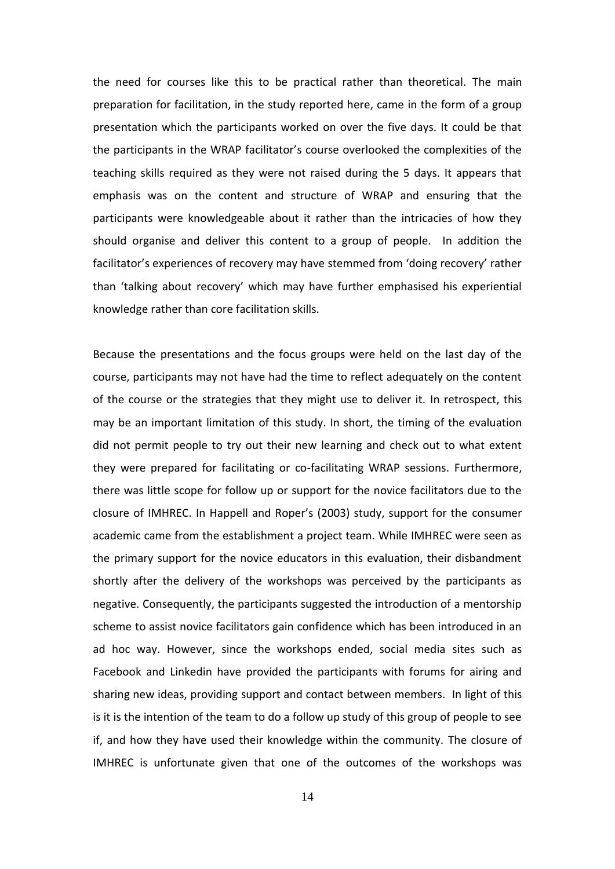the need for courses like this to be practical rather than theoretical. The main preparation for facilitation, in the study reported here, came in the form of a group presentation which the participants worked on over the five days. It could be that the participants in the WRAP facilitator's course overlooked the complexities of the teaching skills required as they were not raised during the 5 days. It appears that emphasis was on the content and structure of WRAP and ensuring that the participants were knowledgeable about it rather than the intricacies of how they should organise and deliver this content to a group of people. In addition the facilitator's experiences of recovery may have stemmed from 'doing recovery' rather than 'talking about recovery' which may have further emphasised his experiential knowledge rather than core facilitation skills.

Because the presentations and the focus groups were held on the last day of the course, participants may not have had the time to reflect adequately on the content of the course or the strategies that they might use to deliver it. In retrospect, this may be an important limitation of this study. In short, the timing of the evaluation did not permit people to try out their new learning and check out to what extent they were prepared for facilitating or co-facilitating WRAP sessions. Furthermore, there was little scope for follow up or support for the novice facilitators due to the closure of IMHREC. In Happell and Roper's (2003) study, support for the consumer academic came from the establishment a project team. While IMHREC were seen as the primary support for the novice educators in this evaluation, their disbandment shortly after the delivery of the workshops was perceived by the participants as negative. Consequently, the participants suggested the introduction of a mentorship scheme to assist novice facilitators gain confidence which has been introduced in an ad hoc way. However, since the workshops ended, social media sites such as Facebook and Linkedin have provided the participants with forums for airing and sharing new ideas, providing support and contact between members. In light of this is it is the intention of the team to do a follow up study of this group of people to see if, and how they have used their knowledge within the community. The closure of IMHREC is unfortunate given that one of the outcomes of the workshops was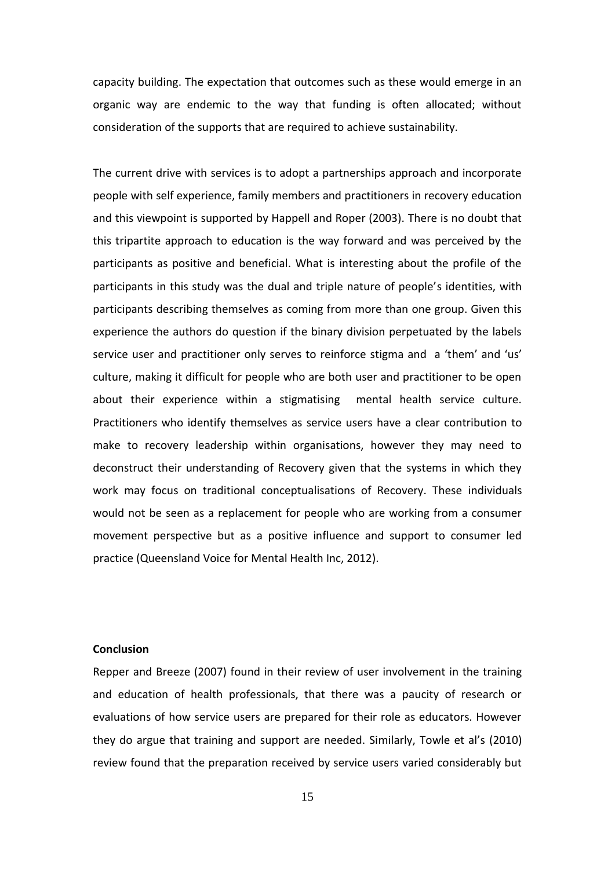capacity building. The expectation that outcomes such as these would emerge in an organic way are endemic to the way that funding is often allocated; without consideration of the supports that are required to achieve sustainability.

The current drive with services is to adopt a partnerships approach and incorporate people with self experience, family members and practitioners in recovery education and this viewpoint is supported by Happell and Roper (2003). There is no doubt that this tripartite approach to education is the way forward and was perceived by the participants as positive and beneficial. What is interesting about the profile of the participants in this study was the dual and triple nature of people's identities, with participants describing themselves as coming from more than one group. Given this experience the authors do question if the binary division perpetuated by the labels service user and practitioner only serves to reinforce stigma and a 'them' and 'us' culture, making it difficult for people who are both user and practitioner to be open about their experience within a stigmatising mental health service culture. Practitioners who identify themselves as service users have a clear contribution to make to recovery leadership within organisations, however they may need to deconstruct their understanding of Recovery given that the systems in which they work may focus on traditional conceptualisations of Recovery. These individuals would not be seen as a replacement for people who are working from a consumer movement perspective but as a positive influence and support to consumer led practice (Queensland Voice for Mental Health Inc, 2012).

### **Conclusion**

Repper and Breeze (2007) found in their review of user involvement in the training and education of health professionals, that there was a paucity of research or evaluations of how service users are prepared for their role as educators. However they do argue that training and support are needed. Similarly, Towle et al's (2010) review found that the preparation received by service users varied considerably but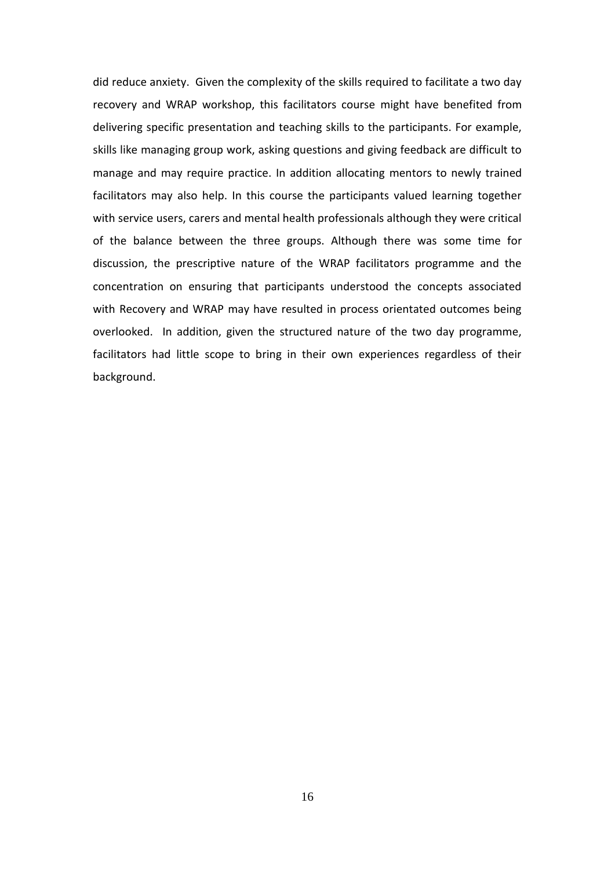did reduce anxiety. Given the complexity of the skills required to facilitate a two day recovery and WRAP workshop, this facilitators course might have benefited from delivering specific presentation and teaching skills to the participants. For example, skills like managing group work, asking questions and giving feedback are difficult to manage and may require practice. In addition allocating mentors to newly trained facilitators may also help. In this course the participants valued learning together with service users, carers and mental health professionals although they were critical of the balance between the three groups. Although there was some time for discussion, the prescriptive nature of the WRAP facilitators programme and the concentration on ensuring that participants understood the concepts associated with Recovery and WRAP may have resulted in process orientated outcomes being overlooked. In addition, given the structured nature of the two day programme, facilitators had little scope to bring in their own experiences regardless of their background.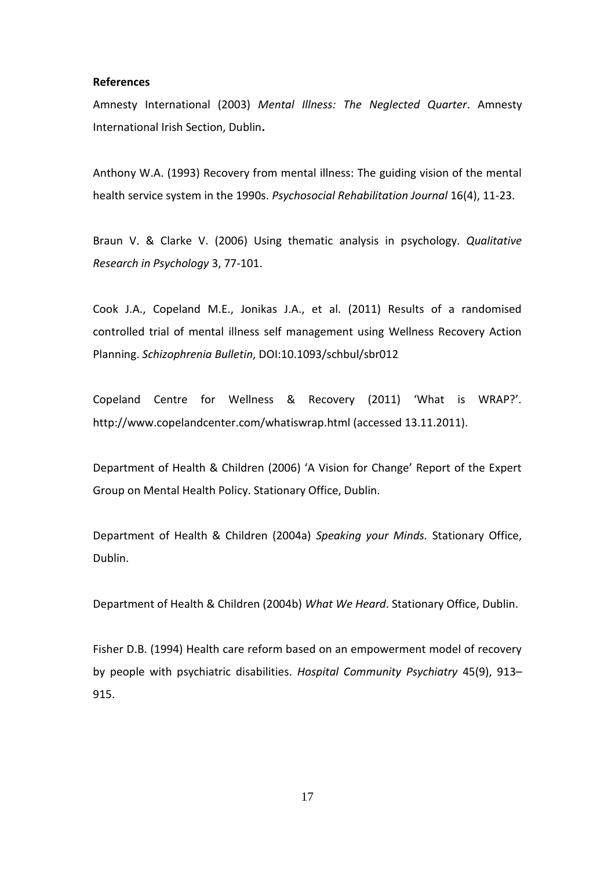### **References**

Amnesty International (2003) *Mental Illness: The Neglected Quarter*. Amnesty International Irish Section, Dublin**.**

Anthony W.A. (1993) Recovery from mental illness: The guiding vision of the mental health service system in the 1990s. *Psychosocial Rehabilitation Journal* 16(4), 11-23.

Braun V. & Clarke V. (2006) Using thematic analysis in psychology. *Qualitative Research in Psychology* 3, 77-101.

Cook J.A., Copeland M.E., Jonikas J.A., et al. (2011) Results of a randomised controlled trial of mental illness self management using Wellness Recovery Action Planning. *Schizophrenia Bulletin*, DOI:10.1093/schbul/sbr012

Copeland Centre for Wellness & Recovery (2011) 'What is WRAP?'. http://www.copelandcenter.com/whatiswrap.html (accessed 13.11.2011).

Department of Health & Children (2006) 'A Vision for Change' Report of the Expert Group on Mental Health Policy. Stationary Office, Dublin.

Department of Health & Children (2004a) *Speaking your Minds.* Stationary Office, Dublin.

Department of Health & Children (2004b) *What We Heard*. Stationary Office, Dublin.

Fisher D.B. (1994) Health care reform based on an empowerment model of recovery by people with psychiatric disabilities. *Hospital Community Psychiatry* 45(9), 913– 915.

17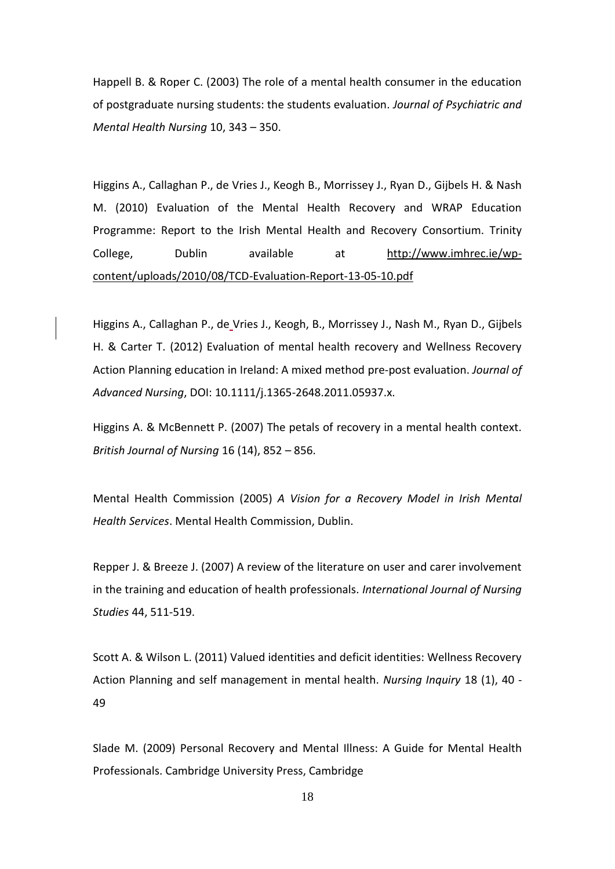Happell B. & Roper C. (2003) The role of a mental health consumer in the education of postgraduate nursing students: the students evaluation. *Journal of Psychiatric and Mental Health Nursing* 10, 343 – 350.

Higgins A., Callaghan P., de Vries J., Keogh B., Morrissey J., Ryan D., Gijbels H. & Nash M. (2010) Evaluation of the Mental Health Recovery and WRAP Education Programme: Report to the Irish Mental Health and Recovery Consortium. Trinity College, Dublin available at [http://www.imhrec.ie/wp](http://www.imhrec.ie/wp-content/uploads/2010/08/TCD-Evaluation-Report-13-05-10.pdf)[content/uploads/2010/08/TCD-Evaluation-Report-13-05-10.pdf](http://www.imhrec.ie/wp-content/uploads/2010/08/TCD-Evaluation-Report-13-05-10.pdf)

Higgins A., Callaghan P., de Vries J., Keogh, B., Morrissey J., Nash M., Ryan D., Gijbels H. & Carter T. (2012) Evaluation of mental health recovery and Wellness Recovery Action Planning education in Ireland: A mixed method pre-post evaluation. *Journal of Advanced Nursing*, DOI: 10.1111/j.1365-2648.2011.05937.x.

Higgins A. & McBennett P. (2007) The petals of recovery in a mental health context. *British Journal of Nursing* 16 (14), 852 – 856.

Mental Health Commission (2005) *A Vision for a Recovery Model in Irish Mental Health Services*. Mental Health Commission, Dublin.

Repper J. & Breeze J. (2007) A review of the literature on user and carer involvement in the training and education of health professionals. *International Journal of Nursing Studies* 44, 511-519.

Scott A. & Wilson L. (2011) Valued identities and deficit identities: Wellness Recovery Action Planning and self management in mental health. *Nursing Inquiry* 18 (1), 40 - 49

Slade M. (2009) Personal Recovery and Mental Illness: A Guide for Mental Health Professionals. Cambridge University Press, Cambridge